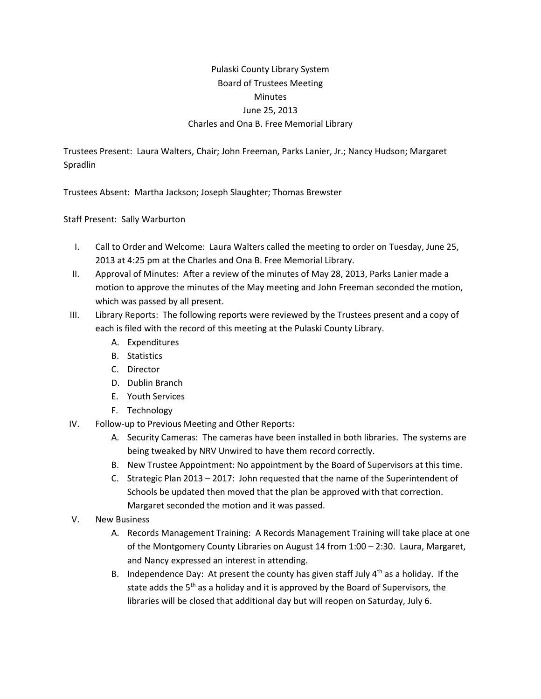## Pulaski County Library System Board of Trustees Meeting **Minutes** June 25, 2013 Charles and Ona B. Free Memorial Library

Trustees Present: Laura Walters, Chair; John Freeman, Parks Lanier, Jr.; Nancy Hudson; Margaret Spradlin

Trustees Absent: Martha Jackson; Joseph Slaughter; Thomas Brewster

Staff Present: Sally Warburton

- I. Call to Order and Welcome: Laura Walters called the meeting to order on Tuesday, June 25, 2013 at 4:25 pm at the Charles and Ona B. Free Memorial Library.
- II. Approval of Minutes: After a review of the minutes of May 28, 2013, Parks Lanier made a motion to approve the minutes of the May meeting and John Freeman seconded the motion, which was passed by all present.
- III. Library Reports: The following reports were reviewed by the Trustees present and a copy of each is filed with the record of this meeting at the Pulaski County Library.
	- A. Expenditures
	- B. Statistics
	- C. Director
	- D. Dublin Branch
	- E. Youth Services
	- F. Technology
- IV. Follow-up to Previous Meeting and Other Reports:
	- A. Security Cameras: The cameras have been installed in both libraries. The systems are being tweaked by NRV Unwired to have them record correctly.
	- B. New Trustee Appointment: No appointment by the Board of Supervisors at this time.
	- C. Strategic Plan 2013 2017: John requested that the name of the Superintendent of Schools be updated then moved that the plan be approved with that correction. Margaret seconded the motion and it was passed.
- V. New Business
	- A. Records Management Training: A Records Management Training will take place at one of the Montgomery County Libraries on August 14 from 1:00 – 2:30. Laura, Margaret, and Nancy expressed an interest in attending.
	- B. Independence Day: At present the county has given staff July  $4<sup>th</sup>$  as a holiday. If the state adds the 5<sup>th</sup> as a holiday and it is approved by the Board of Supervisors, the libraries will be closed that additional day but will reopen on Saturday, July 6.